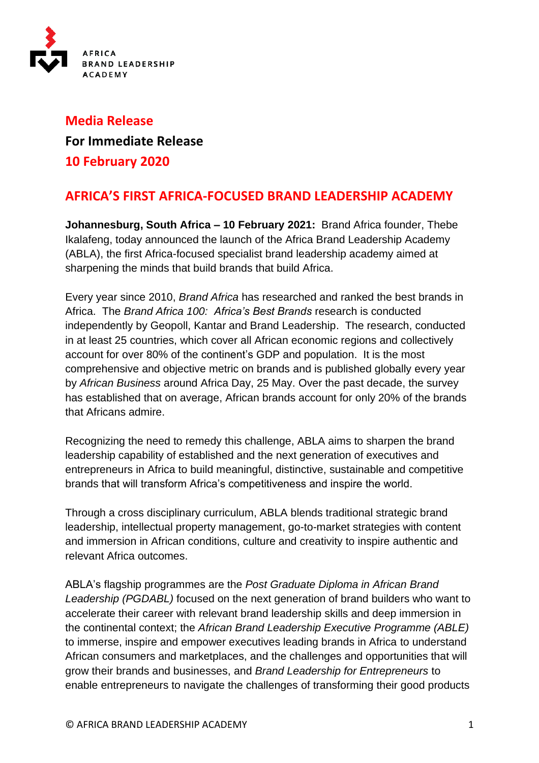

# **Media Release For Immediate Release 10 February 2020**

# **AFRICA'S FIRST AFRICA-FOCUSED BRAND LEADERSHIP ACADEMY**

**Johannesburg, South Africa – 10 February 2021:** Brand Africa founder, Thebe Ikalafeng, today announced the launch of the Africa Brand Leadership Academy (ABLA), the first Africa-focused specialist brand leadership academy aimed at sharpening the minds that build brands that build Africa.

Every year since 2010, *Brand Africa* has researched and ranked the best brands in Africa. The *Brand Africa 100: Africa's Best Brands* research is conducted independently by Geopoll, Kantar and Brand Leadership. The research, conducted in at least 25 countries, which cover all African economic regions and collectively account for over 80% of the continent's GDP and population. It is the most comprehensive and objective metric on brands and is published globally every year by *African Business* around Africa Day, 25 May. Over the past decade, the survey has established that on average, African brands account for only 20% of the brands that Africans admire.

Recognizing the need to remedy this challenge, ABLA aims to sharpen the brand leadership capability of established and the next generation of executives and entrepreneurs in Africa to build meaningful, distinctive, sustainable and competitive brands that will transform Africa's competitiveness and inspire the world.

Through a cross disciplinary curriculum, ABLA blends traditional strategic brand leadership, intellectual property management, go-to-market strategies with content and immersion in African conditions, culture and creativity to inspire authentic and relevant Africa outcomes.

ABLA's flagship programmes are the *Post Graduate Diploma in African Brand Leadership (PGDABL)* focused on the next generation of brand builders who want to accelerate their career with relevant brand leadership skills and deep immersion in the continental context; the *African Brand Leadership Executive Programme (ABLE)* to immerse, inspire and empower executives leading brands in Africa to understand African consumers and marketplaces, and the challenges and opportunities that will grow their brands and businesses, and *Brand Leadership for Entrepreneurs* to enable entrepreneurs to navigate the challenges of transforming their good products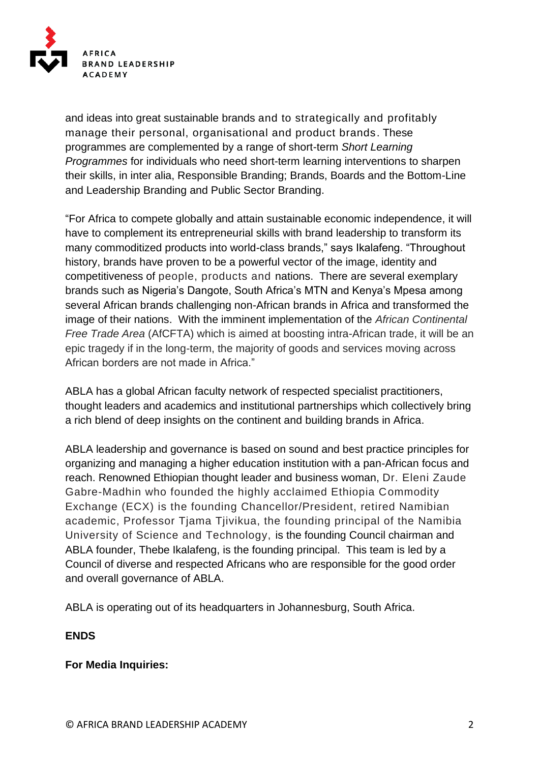

and ideas into great sustainable brands and to strategically and profitably manage their personal, organisational and product brands. These programmes are complemented by a range of short-term *Short Learning Programmes* for individuals who need short-term learning interventions to sharpen their skills, in inter alia, Responsible Branding; Brands, Boards and the Bottom-Line and Leadership Branding and Public Sector Branding.

"For Africa to compete globally and attain sustainable economic independence, it will have to complement its entrepreneurial skills with brand leadership to transform its many commoditized products into world-class brands," says Ikalafeng. "Throughout history, brands have proven to be a powerful vector of the image, identity and competitiveness of people, products and nations. There are several exemplary brands such as Nigeria's Dangote, South Africa's MTN and Kenya's Mpesa among several African brands challenging non-African brands in Africa and transformed the image of their nations. With the imminent implementation of the *African Continental Free Trade Area* (AfCFTA) which is aimed at boosting intra-African trade, it will be an epic tragedy if in the long-term, the majority of goods and services moving across African borders are not made in Africa."

ABLA has a global African faculty network of respected specialist practitioners, thought leaders and academics and institutional partnerships which collectively bring a rich blend of deep insights on the continent and building brands in Africa.

ABLA leadership and governance is based on sound and best practice principles for organizing and managing a higher education institution with a pan-African focus and reach. Renowned Ethiopian thought leader and business woman, Dr. Eleni Zaude Gabre-Madhin who founded the highly acclaimed Ethiopia Commodity Exchange (ECX) is the founding Chancellor/President, retired Namibian academic, Professor Tjama Tjivikua, the founding principal of the Namibia University of Science and Technology, is the founding Council chairman and ABLA founder, Thebe Ikalafeng, is the founding principal. This team is led by a Council of diverse and respected Africans who are responsible for the good order and overall governance of ABLA.

ABLA is operating out of its headquarters in Johannesburg, South Africa.

# **ENDS**

# **For Media Inquiries:**